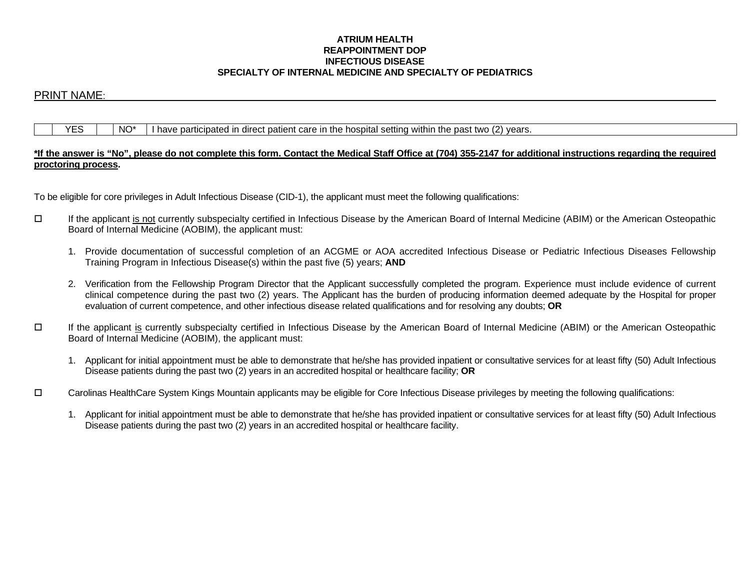## **ATRIUM HEALTH REAPPOINTMENT DOP INFECTIOUS DISEASE SPECIALTY OF INTERNAL MEDICINE AND SPECIALTY OF PEDIATRICS**

# PRINT NAME:

## $YES$   $\parallel$   $NO^*$  I have participated in direct patient care in the hospital setting within the past two (2) years.

## **\*If the answer is "No", please do not complete this form. Contact the Medical Staff Office at (704) 355-2147 for additional instructions regarding the required proctoring process.**

To be eligible for core privileges in Adult Infectious Disease (CID-1), the applicant must meet the following qualifications:

- If the applicant is not currently subspecialty certified in Infectious Disease by the American Board of Internal Medicine (ABIM) or the American Osteopathic Board of Internal Medicine (AOBIM), the applicant must:
	- 1. Provide documentation of successful completion of an ACGME or AOA accredited Infectious Disease or Pediatric Infectious Diseases Fellowship Training Program in Infectious Disease(s) within the past five (5) years; **AND**
	- 2. Verification from the Fellowship Program Director that the Applicant successfully completed the program. Experience must include evidence of current clinical competence during the past two (2) years. The Applicant has the burden of producing information deemed adequate by the Hospital for proper evaluation of current competence, and other infectious disease related qualifications and for resolving any doubts; **OR**
- If the applicant is currently subspecialty certified in Infectious Disease by the American Board of Internal Medicine (ABIM) or the American Osteopathic Board of Internal Medicine (AOBIM), the applicant must:
	- 1. Applicant for initial appointment must be able to demonstrate that he/she has provided inpatient or consultative services for at least fifty (50) Adult Infectious Disease patients during the past two (2) years in an accredited hospital or healthcare facility; **OR**
- Carolinas HealthCare System Kings Mountain applicants may be eligible for Core Infectious Disease privileges by meeting the following qualifications:
	- 1. Applicant for initial appointment must be able to demonstrate that he/she has provided inpatient or consultative services for at least fifty (50) Adult Infectious Disease patients during the past two (2) years in an accredited hospital or healthcare facility.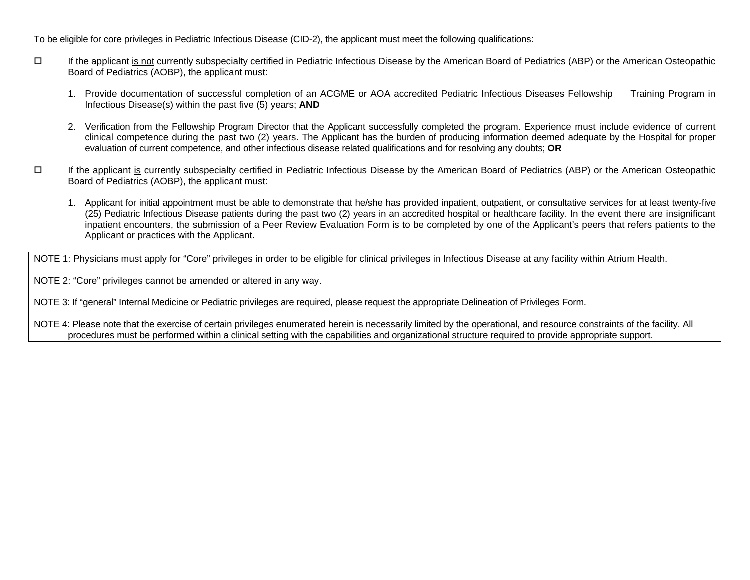To be eligible for core privileges in Pediatric Infectious Disease (CID-2), the applicant must meet the following qualifications:

- If the applicant is not currently subspecialty certified in Pediatric Infectious Disease by the American Board of Pediatrics (ABP) or the American Osteopathic Board of Pediatrics (AOBP), the applicant must:
	- 1. Provide documentation of successful completion of an ACGME or AOA accredited Pediatric Infectious Diseases Fellowship Training Program in Infectious Disease(s) within the past five (5) years; **AND**
	- 2. Verification from the Fellowship Program Director that the Applicant successfully completed the program. Experience must include evidence of current clinical competence during the past two (2) years. The Applicant has the burden of producing information deemed adequate by the Hospital for proper evaluation of current competence, and other infectious disease related qualifications and for resolving any doubts; **OR**
- If the applicant is currently subspecialty certified in Pediatric Infectious Disease by the American Board of Pediatrics (ABP) or the American Osteopathic Board of Pediatrics (AOBP), the applicant must:
	- 1. Applicant for initial appointment must be able to demonstrate that he/she has provided inpatient, outpatient, or consultative services for at least twenty-five (25) Pediatric Infectious Disease patients during the past two (2) years in an accredited hospital or healthcare facility. In the event there are insignificant inpatient encounters, the submission of a Peer Review Evaluation Form is to be completed by one of the Applicant's peers that refers patients to the Applicant or practices with the Applicant.

NOTE 1: Physicians must apply for "Core" privileges in order to be eligible for clinical privileges in Infectious Disease at any facility within Atrium Health.

NOTE 2: "Core" privileges cannot be amended or altered in any way.

NOTE 3: If "general" Internal Medicine or Pediatric privileges are required, please request the appropriate Delineation of Privileges Form.

NOTE 4: Please note that the exercise of certain privileges enumerated herein is necessarily limited by the operational, and resource constraints of the facility. All procedures must be performed within a clinical setting with the capabilities and organizational structure required to provide appropriate support.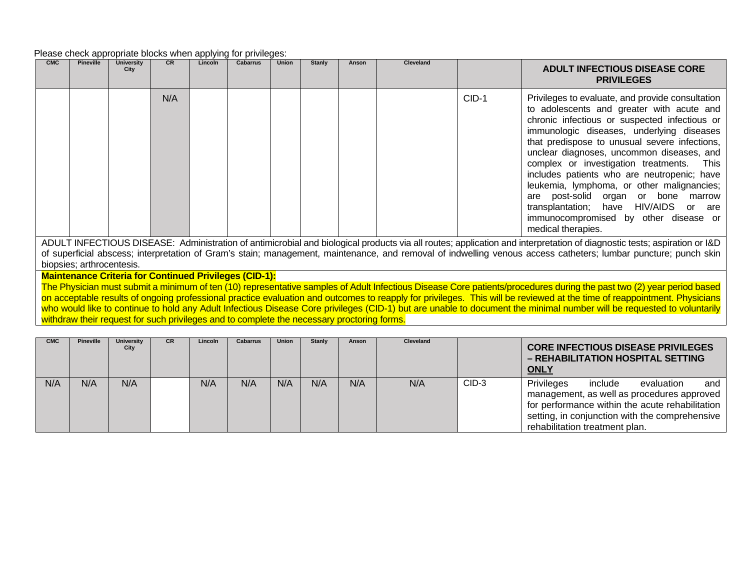#### Please check appropriate blocks when applying for privileges:

| <b>CMC</b> | <b>Pineville</b> | University<br>City | <b>CR</b> | Lincoln | Cabarrus | <b>Union</b> | <b>Stanly</b> | Anson | <b>Cleveland</b> |         | <b>ADULT INFECTIOUS DISEASE CORE</b><br><b>PRIVILEGES</b>                                                                                                                                                                                                                                                                                                                                                                                                                                                                                                                          |
|------------|------------------|--------------------|-----------|---------|----------|--------------|---------------|-------|------------------|---------|------------------------------------------------------------------------------------------------------------------------------------------------------------------------------------------------------------------------------------------------------------------------------------------------------------------------------------------------------------------------------------------------------------------------------------------------------------------------------------------------------------------------------------------------------------------------------------|
|            |                  |                    | N/A       |         |          |              |               |       |                  | $CID-1$ | Privileges to evaluate, and provide consultation<br>to adolescents and greater with acute and<br>chronic infectious or suspected infectious or<br>immunologic diseases, underlying diseases<br>that predispose to unusual severe infections,<br>unclear diagnoses, uncommon diseases, and<br>complex or investigation treatments. This<br>includes patients who are neutropenic; have<br>leukemia, lymphoma, or other malignancies;<br>are post-solid organ or bone marrow<br>transplantation; have HIV/AIDS or are<br>immunocompromised by other disease or<br>medical therapies. |

ADULT INFECTIOUS DISEASE: Administration of antimicrobial and biological products via all routes; application and interpretation of diagnostic tests; aspiration or I&D of superficial abscess; interpretation of Gram's stain; management, maintenance, and removal of indwelling venous access catheters; lumbar puncture; punch skin biopsies; arthrocentesis.

**Maintenance Criteria for Continued Privileges (CID-1):**

The Physician must submit a minimum of ten (10) representative samples of Adult Infectious Disease Core patients/procedures during the past two (2) year period based on acceptable results of ongoing professional practice evaluation and outcomes to reapply for privileges. This will be reviewed at the time of reappointment. Physicians who would like to continue to hold any Adult Infectious Disease Core privileges (CID-1) but are unable to document the minimal number will be requested to voluntarily withdraw their request for such privileges and to complete the necessary proctoring forms.

| <b>CMC</b> | <b>Pineville</b> | University<br>City | <b>CR</b> | Lincoln | <b>Cabarrus</b> | <b>Union</b> | Stanly | Anson | Cleveland |         | <b>CORE INFECTIOUS DISEASE PRIVILEGES</b><br>- REHABILITATION HOSPITAL SETTING<br><b>ONLY</b>                                                                                                                                   |
|------------|------------------|--------------------|-----------|---------|-----------------|--------------|--------|-------|-----------|---------|---------------------------------------------------------------------------------------------------------------------------------------------------------------------------------------------------------------------------------|
| N/A        | N/A              | N/A                |           | N/A     | N/A             | N/A          | N/A    | N/A   | N/A       | $CID-3$ | Privileges<br>include<br>and<br>evaluation<br>management, as well as procedures approved<br>for performance within the acute rehabilitation<br>setting, in conjunction with the comprehensive<br>rehabilitation treatment plan. |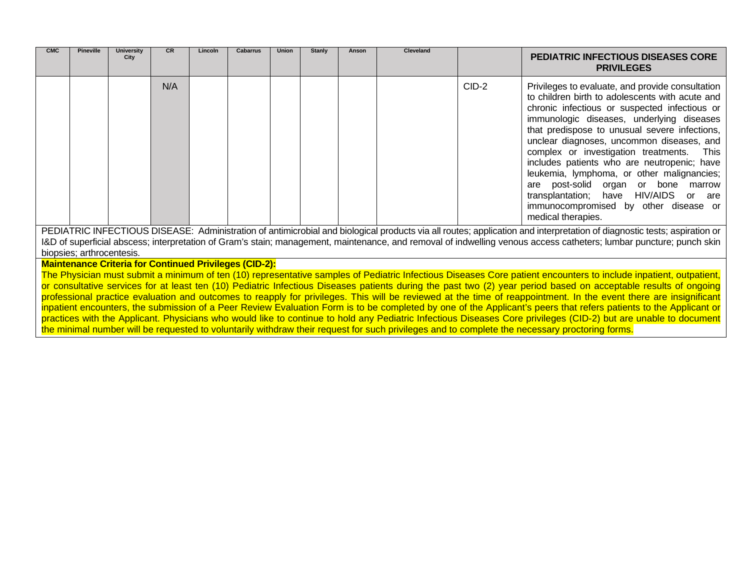| <b>CMC</b>                                                                                                                                                                                                                                                                                                                                     | <b>Pineville</b> | <b>University</b><br>City | <b>CR</b> | Lincoln | <b>Cabarrus</b> | Union | Stanly | Anson | Cleveland |       | <b>PEDIATRIC INFECTIOUS DISEASES CORE</b><br><b>PRIVILEGES</b>                                                                                                                                                                                                                                                                                                                                                                                                                                                                                                                           |
|------------------------------------------------------------------------------------------------------------------------------------------------------------------------------------------------------------------------------------------------------------------------------------------------------------------------------------------------|------------------|---------------------------|-----------|---------|-----------------|-------|--------|-------|-----------|-------|------------------------------------------------------------------------------------------------------------------------------------------------------------------------------------------------------------------------------------------------------------------------------------------------------------------------------------------------------------------------------------------------------------------------------------------------------------------------------------------------------------------------------------------------------------------------------------------|
|                                                                                                                                                                                                                                                                                                                                                |                  |                           | N/A       |         |                 |       |        |       |           | CID-2 | Privileges to evaluate, and provide consultation<br>to children birth to adolescents with acute and<br>chronic infectious or suspected infectious or<br>immunologic diseases, underlying diseases<br>that predispose to unusual severe infections,<br>unclear diagnoses, uncommon diseases, and<br>complex or investigation treatments. This<br>includes patients who are neutropenic; have<br>leukemia, lymphoma, or other malignancies;<br>are post-solid organ or bone marrow<br>transplantation; have HIV/AIDS or are<br>immunocompromised by other disease or<br>medical therapies. |
| PEDIATRIC INFECTIOUS DISEASE: Administration of antimicrobial and biological products via all routes; application and interpretation of diagnostic tests; aspiration or<br>I&D of superficial abscess; interpretation of Gram's stain; management, maintenance, and removal of indwelling venous access catheters; lumbar puncture; punch skin |                  |                           |           |         |                 |       |        |       |           |       |                                                                                                                                                                                                                                                                                                                                                                                                                                                                                                                                                                                          |
| biopsies; arthrocentesis.                                                                                                                                                                                                                                                                                                                      |                  |                           |           |         |                 |       |        |       |           |       |                                                                                                                                                                                                                                                                                                                                                                                                                                                                                                                                                                                          |

**Maintenance Criteria for Continued Privileges (CID-2):**

The Physician must submit a minimum of ten (10) representative samples of Pediatric Infectious Diseases Core patient encounters to include inpatient, outpatient, or consultative services for at least ten (10) Pediatric Infectious Diseases patients during the past two (2) year period based on acceptable results of ongoing professional practice evaluation and outcomes to reapply for privileges. This will be reviewed at the time of reappointment. In the event there are insignificant inpatient encounters, the submission of a Peer Review Evaluation Form is to be completed by one of the Applicant's peers that refers patients to the Applicant or practices with the Applicant. Physicians who would like to continue to hold any Pediatric Infectious Diseases Core privileges (CID-2) but are unable to document the minimal number will be requested to voluntarily withdraw their request for such privileges and to complete the necessary proctoring forms.